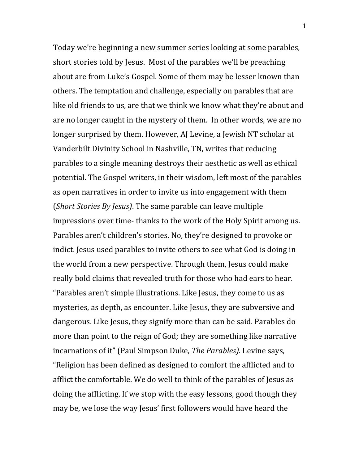Today we're beginning a new summer series looking at some parables, short stories told by Jesus. Most of the parables we'll be preaching about are from Luke's Gospel. Some of them may be lesser known than others. The temptation and challenge, especially on parables that are like old friends to us, are that we think we know what they're about and are no longer caught in the mystery of them. In other words, we are no longer surprised by them. However, AJ Levine, a Jewish NT scholar at Vanderbilt Divinity School in Nashville, TN, writes that reducing parables to a single meaning destroys their aesthetic as well as ethical potential. The Gospel writers, in their wisdom, left most of the parables as open narratives in order to invite us into engagement with them (*Short Stories By Jesus*). The same parable can leave multiple impressions over time- thanks to the work of the Holy Spirit among us. Parables aren't children's stories. No, they're designed to provoke or indict. Jesus used parables to invite others to see what God is doing in the world from a new perspective. Through them, Jesus could make really bold claims that revealed truth for those who had ears to hear. "Parables aren't simple illustrations. Like Jesus, they come to us as mysteries, as depth, as encounter. Like Jesus, they are subversive and dangerous. Like Jesus, they signify more than can be said. Parables do more than point to the reign of God; they are something like narrative incarnations of it" (Paul Simpson Duke, *The Parables*). Levine says, "Religion has been defined as designed to comfort the afflicted and to afflict the comfortable. We do well to think of the parables of Jesus as doing the afflicting. If we stop with the easy lessons, good though they may be, we lose the way Jesus' first followers would have heard the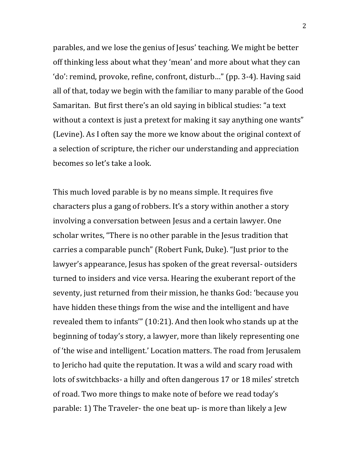parables, and we lose the genius of Jesus' teaching. We might be better off thinking less about what they 'mean' and more about what they can 'do': remind, provoke, refine, confront, disturb..." (pp. 3-4). Having said all of that, today we begin with the familiar to many parable of the Good Samaritan. But first there's an old saying in biblical studies: "a text without a context is just a pretext for making it say anything one wants" (Levine). As I often say the more we know about the original context of a selection of scripture, the richer our understanding and appreciation becomes so let's take a look.

This much loved parable is by no means simple. It requires five characters plus a gang of robbers. It's a story within another a story involving a conversation between Jesus and a certain lawyer. One scholar writes, "There is no other parable in the Jesus tradition that carries a comparable punch" (Robert Funk, Duke). "Just prior to the lawyer's appearance, Jesus has spoken of the great reversal-outsiders turned to insiders and vice versa. Hearing the exuberant report of the seventy, just returned from their mission, he thanks God: 'because you have hidden these things from the wise and the intelligent and have revealed them to infants"  $(10:21)$ . And then look who stands up at the beginning of today's story, a lawyer, more than likely representing one of 'the wise and intelligent.' Location matters. The road from Jerusalem to Jericho had quite the reputation. It was a wild and scary road with lots of switchbacks- a hilly and often dangerous 17 or 18 miles' stretch of road. Two more things to make note of before we read today's parable: 1) The Traveler- the one beat up- is more than likely a Jew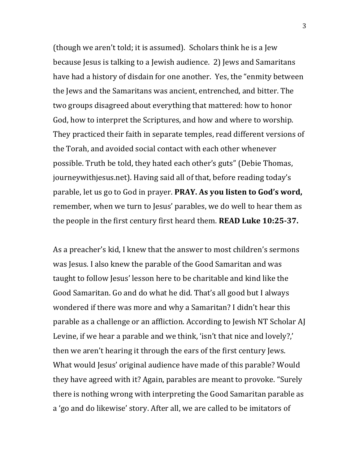(though we aren't told; it is assumed). Scholars think he is a Jew because Jesus is talking to a Jewish audience. 2) Jews and Samaritans have had a history of disdain for one another. Yes, the "enmity between the lews and the Samaritans was ancient, entrenched, and bitter. The two groups disagreed about everything that mattered: how to honor God, how to interpret the Scriptures, and how and where to worship. They practiced their faith in separate temples, read different versions of the Torah, and avoided social contact with each other whenever possible. Truth be told, they hated each other's guts" (Debie Thomas, journeywithjesus.net). Having said all of that, before reading today's parable, let us go to God in prayer. **PRAY. As you listen to God's word,** remember, when we turn to Jesus' parables, we do well to hear them as the people in the first century first heard them. **READ Luke 10:25-37.** 

As a preacher's kid, I knew that the answer to most children's sermons was Jesus. I also knew the parable of the Good Samaritan and was taught to follow Jesus' lesson here to be charitable and kind like the Good Samaritan. Go and do what he did. That's all good but I always wondered if there was more and why a Samaritan? I didn't hear this parable as a challenge or an affliction. According to Jewish NT Scholar AJ Levine, if we hear a parable and we think, 'isn't that nice and lovely?,' then we aren't hearing it through the ears of the first century Jews. What would Jesus' original audience have made of this parable? Would they have agreed with it? Again, parables are meant to provoke. "Surely there is nothing wrong with interpreting the Good Samaritan parable as a 'go and do likewise' story. After all, we are called to be imitators of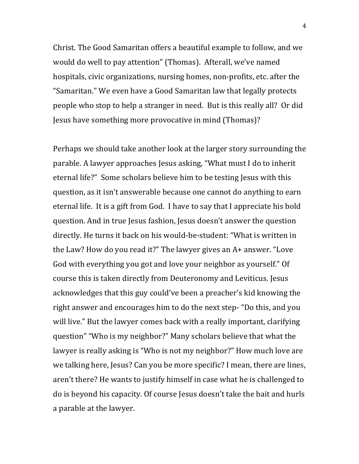Christ. The Good Samaritan offers a beautiful example to follow, and we would do well to pay attention" (Thomas). Afterall, we've named hospitals, civic organizations, nursing homes, non-profits, etc. after the "Samaritan." We even have a Good Samaritan law that legally protects people who stop to help a stranger in need. But is this really all? Or did Jesus have something more provocative in mind (Thomas)?

Perhaps we should take another look at the larger story surrounding the parable. A lawyer approaches Jesus asking, "What must I do to inherit eternal life?" Some scholars believe him to be testing Jesus with this question, as it isn't answerable because one cannot do anything to earn eternal life. It is a gift from God. I have to say that I appreciate his bold question. And in true Jesus fashion, Jesus doesn't answer the question directly. He turns it back on his would-be-student: "What is written in the Law? How do you read it?" The lawyer gives an A+ answer. "Love God with everything you got and love your neighbor as yourself." Of course this is taken directly from Deuteronomy and Leviticus. Jesus acknowledges that this guy could've been a preacher's kid knowing the right answer and encourages him to do the next step- "Do this, and you will live." But the lawyer comes back with a really important, clarifying question" "Who is my neighbor?" Many scholars believe that what the lawyer is really asking is "Who is not my neighbor?" How much love are we talking here, Jesus? Can you be more specific? I mean, there are lines, aren't there? He wants to justify himself in case what he is challenged to do is beyond his capacity. Of course Jesus doesn't take the bait and hurls a parable at the lawyer.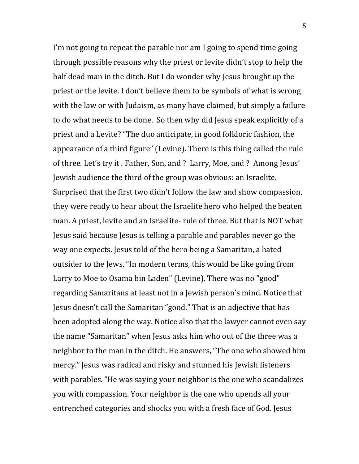I'm not going to repeat the parable nor am I going to spend time going through possible reasons why the priest or levite didn't stop to help the half dead man in the ditch. But I do wonder why Jesus brought up the priest or the levite. I don't believe them to be symbols of what is wrong with the law or with Judaism, as many have claimed, but simply a failure to do what needs to be done. So then why did Jesus speak explicitly of a priest and a Levite? "The duo anticipate, in good folkloric fashion, the appearance of a third figure" (Levine). There is this thing called the rule of three. Let's try it. Father, Son, and ? Larry, Moe, and ? Among Jesus' Jewish audience the third of the group was obvious: an Israelite. Surprised that the first two didn't follow the law and show compassion, they were ready to hear about the Israelite hero who helped the beaten man. A priest, levite and an Israelite- rule of three. But that is NOT what Jesus said because Jesus is telling a parable and parables never go the way one expects. Jesus told of the hero being a Samaritan, a hated outsider to the Jews. "In modern terms, this would be like going from Larry to Moe to Osama bin Laden" (Levine). There was no "good" regarding Samaritans at least not in a Jewish person's mind. Notice that Jesus doesn't call the Samaritan "good." That is an adjective that has been adopted along the way. Notice also that the lawyer cannot even say the name "Samaritan" when Jesus asks him who out of the three was a neighbor to the man in the ditch. He answers, "The one who showed him mercy." Jesus was radical and risky and stunned his Jewish listeners with parables. "He was saying your neighbor is the one who scandalizes you with compassion. Your neighbor is the one who upends all your entrenched categories and shocks you with a fresh face of God. Jesus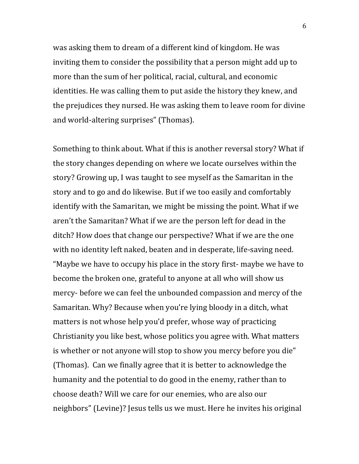was asking them to dream of a different kind of kingdom. He was inviting them to consider the possibility that a person might add up to more than the sum of her political, racial, cultural, and economic identities. He was calling them to put aside the history they knew, and the prejudices they nursed. He was asking them to leave room for divine and world-altering surprises" (Thomas).

Something to think about. What if this is another reversal story? What if the story changes depending on where we locate ourselves within the story? Growing up, I was taught to see myself as the Samaritan in the story and to go and do likewise. But if we too easily and comfortably identify with the Samaritan, we might be missing the point. What if we aren't the Samaritan? What if we are the person left for dead in the ditch? How does that change our perspective? What if we are the one with no identity left naked, beaten and in desperate, life-saving need. "Maybe we have to occupy his place in the story first- maybe we have to become the broken one, grateful to anyone at all who will show us mercy- before we can feel the unbounded compassion and mercy of the Samaritan. Why? Because when you're lying bloody in a ditch, what matters is not whose help you'd prefer, whose way of practicing Christianity you like best, whose politics you agree with. What matters is whether or not anyone will stop to show you mercy before you die" (Thomas). Can we finally agree that it is better to acknowledge the humanity and the potential to do good in the enemy, rather than to choose death? Will we care for our enemies, who are also our neighbors" (Levine)? Jesus tells us we must. Here he invites his original